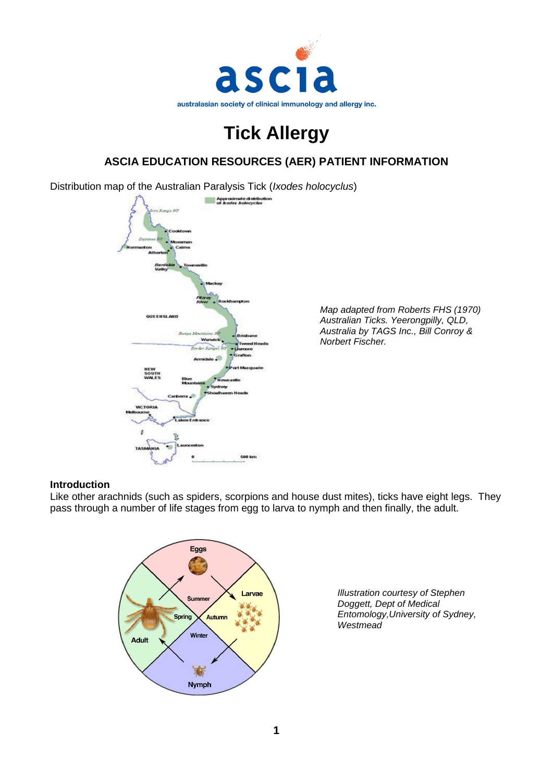

# **Tick Allergy**

# **ASCIA EDUCATION RESOURCES (AER) PATIENT INFORMATION**

Distribution map of the Australian Paralysis Tick (*Ixodes holocyclus*)



*Map adapted from Roberts FHS (1970) Australian Ticks. Yeerongpilly, QLD, Australia by TAGS Inc., Bill Conroy & Norbert Fischer.*

#### **Introduction**

Like other arachnids (such as spiders, scorpions and house dust mites), ticks have eight legs. They pass through a number of life stages from egg to larva to nymph and then finally, the adult.



*Illustration courtesy of Stephen Doggett, Dept of Medical Entomology,University of Sydney, Westmead*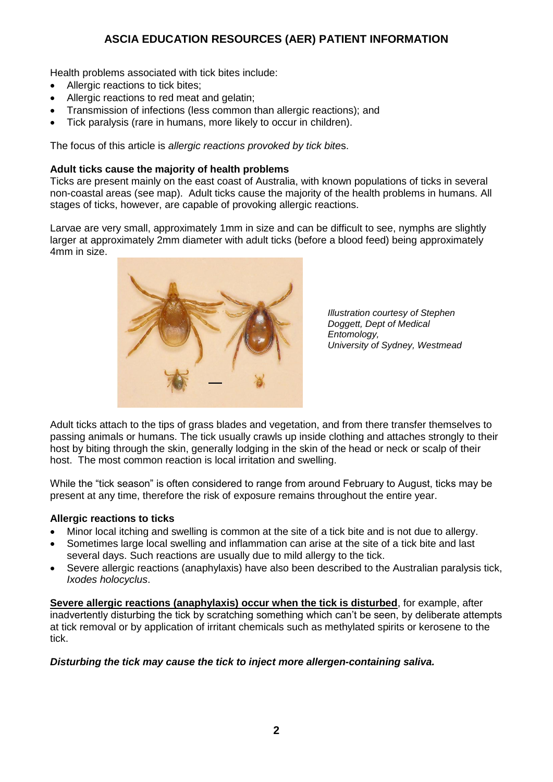Health problems associated with tick bites include:

- Allergic reactions to tick bites;
- Allergic reactions to red meat and gelatin;
- Transmission of infections (less common than allergic reactions); and
- Tick paralysis (rare in humans, more likely to occur in children).

The focus of this article is *allergic reactions provoked by tick bite*s.

#### **Adult ticks cause the majority of health problems**

Ticks are present mainly on the east coast of Australia, with known populations of ticks in several non-coastal areas (see map). Adult ticks cause the majority of the health problems in humans. All stages of ticks, however, are capable of provoking allergic reactions.

Larvae are very small, approximately 1mm in size and can be difficult to see, nymphs are slightly larger at approximately 2mm diameter with adult ticks (before a blood feed) being approximately 4mm in size.



*Illustration courtesy of Stephen Doggett, Dept of Medical Entomology, University of Sydney, Westmead*

Adult ticks attach to the tips of grass blades and vegetation, and from there transfer themselves to passing animals or humans. The tick usually crawls up inside clothing and attaches strongly to their host by biting through the skin, generally lodging in the skin of the head or neck or scalp of their host. The most common reaction is local irritation and swelling.

While the "tick season" is often considered to range from around February to August, ticks may be present at any time, therefore the risk of exposure remains throughout the entire year.

#### **Allergic reactions to ticks**

- Minor local itching and swelling is common at the site of a tick bite and is not due to allergy.
- Sometimes large local swelling and inflammation can arise at the site of a tick bite and last several days. Such reactions are usually due to mild allergy to the tick.
- Severe allergic reactions (anaphylaxis) have also been described to the Australian paralysis tick, *Ixodes holocyclus*.

**Severe allergic reactions (anaphylaxis) occur when the tick is disturbed**, for example, after inadvertently disturbing the tick by scratching something which can't be seen, by deliberate attempts at tick removal or by application of irritant chemicals such as methylated spirits or kerosene to the tick.

#### *Disturbing the tick may cause the tick to inject more allergen-containing saliva.*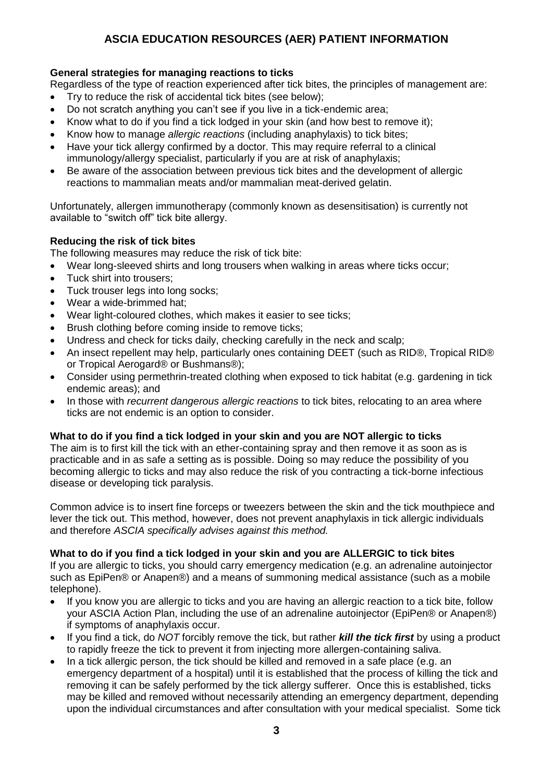## **General strategies for managing reactions to ticks**

Regardless of the type of reaction experienced after tick bites, the principles of management are:

- Try to reduce the risk of accidental tick bites (see below);
- Do not scratch anything you can't see if you live in a tick-endemic area;
- Know what to do if you find a tick lodged in your skin (and how best to remove it);
- Know how to manage *allergic reactions* (including anaphylaxis) to tick bites;
- Have your tick allergy confirmed by a doctor. This may require referral to a clinical immunology/allergy specialist, particularly if you are at risk of anaphylaxis;
- Be aware of the association between previous tick bites and the development of allergic reactions to mammalian meats and/or mammalian meat-derived gelatin.

Unfortunately, allergen immunotherapy (commonly known as desensitisation) is currently not available to "switch off" tick bite allergy.

## **Reducing the risk of tick bites**

The following measures may reduce the risk of tick bite:

- Wear long-sleeved shirts and long trousers when walking in areas where ticks occur;
- Tuck shirt into trousers:
- Tuck trouser legs into long socks:
- Wear a wide-brimmed hat;
- Wear light-coloured clothes, which makes it easier to see ticks;
- Brush clothing before coming inside to remove ticks;
- Undress and check for ticks daily, checking carefully in the neck and scalp;
- An insect repellent may help, particularly ones containing DEET (such as RID®, Tropical RID® or Tropical Aerogard® or Bushmans®);
- Consider using permethrin-treated clothing when exposed to tick habitat (e.g. gardening in tick endemic areas); and
- In those with *recurrent dangerous allergic reactions* to tick bites, relocating to an area where ticks are not endemic is an option to consider.

## **What to do if you find a tick lodged in your skin and you are NOT allergic to ticks**

The aim is to first kill the tick with an ether-containing spray and then remove it as soon as is practicable and in as safe a setting as is possible. Doing so may reduce the possibility of you becoming allergic to ticks and may also reduce the risk of you contracting a tick-borne infectious disease or developing tick paralysis.

Common advice is to insert fine forceps or tweezers between the skin and the tick mouthpiece and lever the tick out. This method, however, does not prevent anaphylaxis in tick allergic individuals and therefore *ASCIA specifically advises against this method.* 

## **What to do if you find a tick lodged in your skin and you are ALLERGIC to tick bites**

If you are allergic to ticks, you should carry emergency medication (e.g. an adrenaline autoinjector such as EpiPen® or Anapen®) and a means of summoning medical assistance (such as a mobile telephone).

- If you know you are allergic to ticks and you are having an allergic reaction to a tick bite, follow your ASCIA Action Plan, including the use of an adrenaline autoinjector (EpiPen® or Anapen®) if symptoms of anaphylaxis occur.
- If you find a tick, do *NOT* forcibly remove the tick, but rather *kill the tick first* by using a product to rapidly freeze the tick to prevent it from injecting more allergen-containing saliva.
- In a tick allergic person, the tick should be killed and removed in a safe place (e.g. an emergency department of a hospital) until it is established that the process of killing the tick and removing it can be safely performed by the tick allergy sufferer. Once this is established, ticks may be killed and removed without necessarily attending an emergency department, depending upon the individual circumstances and after consultation with your medical specialist. Some tick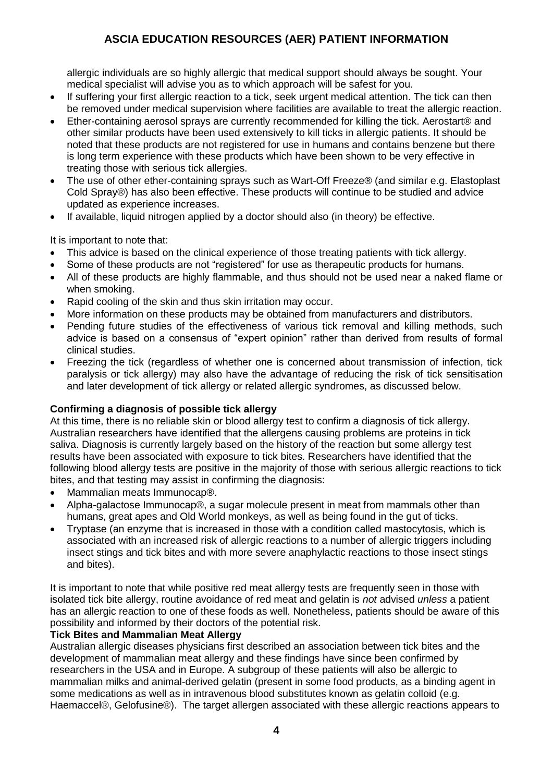allergic individuals are so highly allergic that medical support should always be sought. Your medical specialist will advise you as to which approach will be safest for you.

- If suffering your first allergic reaction to a tick, seek urgent medical attention. The tick can then be removed under medical supervision where facilities are available to treat the allergic reaction.
- Ether-containing aerosol sprays are currently recommended for killing the tick. Aerostart® and other similar products have been used extensively to kill ticks in allergic patients. It should be noted that these products are not registered for use in humans and contains benzene but there is long term experience with these products which have been shown to be very effective in treating those with serious tick allergies.
- The use of other ether-containing sprays such as Wart-Off Freeze® (and similar e.g. Elastoplast Cold Spray®) has also been effective. These products will continue to be studied and advice updated as experience increases.
- If available, liquid nitrogen applied by a doctor should also (in theory) be effective.

It is important to note that:

- This advice is based on the clinical experience of those treating patients with tick allergy.
- Some of these products are not "registered" for use as therapeutic products for humans.
- All of these products are highly flammable, and thus should not be used near a naked flame or when smoking.
- Rapid cooling of the skin and thus skin irritation may occur.
- More information on these products may be obtained from manufacturers and distributors.
- Pending future studies of the effectiveness of various tick removal and killing methods, such advice is based on a consensus of "expert opinion" rather than derived from results of formal clinical studies.
- Freezing the tick (regardless of whether one is concerned about transmission of infection, tick paralysis or tick allergy) may also have the advantage of reducing the risk of tick sensitisation and later development of tick allergy or related allergic syndromes, as discussed below.

## **Confirming a diagnosis of possible tick allergy**

At this time, there is no reliable skin or blood allergy test to confirm a diagnosis of tick allergy. Australian researchers have identified that the allergens causing problems are proteins in tick saliva. Diagnosis is currently largely based on the history of the reaction but some allergy test results have been associated with exposure to tick bites. Researchers have identified that the following blood allergy tests are positive in the majority of those with serious allergic reactions to tick bites, and that testing may assist in confirming the diagnosis:

- Mammalian meats Immunocap®.
- Alpha-galactose Immunocap®, a sugar molecule present in meat from mammals other than humans, great apes and Old World monkeys, as well as being found in the gut of ticks.
- Tryptase (an enzyme that is increased in those with a condition called mastocytosis, which is associated with an increased risk of allergic reactions to a number of allergic triggers including insect stings and tick bites and with more severe anaphylactic reactions to those insect stings and bites).

It is important to note that while positive red meat allergy tests are frequently seen in those with isolated tick bite allergy, routine avoidance of red meat and gelatin is *not* advised *unless* a patient has an allergic reaction to one of these foods as well. Nonetheless, patients should be aware of this possibility and informed by their doctors of the potential risk.

#### **Tick Bites and Mammalian Meat Allergy**

Australian allergic diseases physicians first described an association between tick bites and the development of mammalian meat allergy and these findings have since been confirmed by researchers in the USA and in Europe. A subgroup of these patients will also be allergic to mammalian milks and animal-derived gelatin (present in some food products, as a binding agent in some medications as well as in intravenous blood substitutes known as gelatin colloid (e.g. Haemaccel®, Gelofusine®). The target allergen associated with these allergic reactions appears to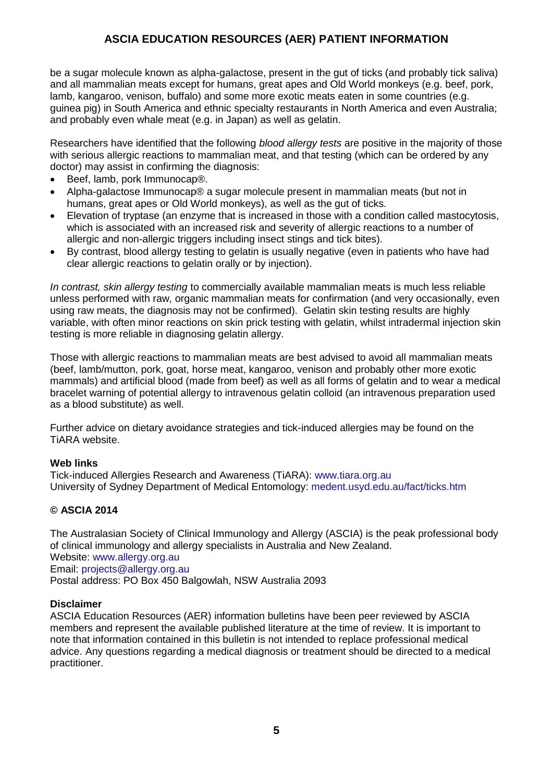be a sugar molecule known as alpha-galactose, present in the gut of ticks (and probably tick saliva) and all mammalian meats except for humans, great apes and Old World monkeys (e.g. beef, pork, lamb, kangaroo, venison, buffalo) and some more exotic meats eaten in some countries (e.g. guinea pig) in South America and ethnic specialty restaurants in North America and even Australia; and probably even whale meat (e.g. in Japan) as well as gelatin.

Researchers have identified that the following *blood allergy tests* are positive in the majority of those with serious allergic reactions to mammalian meat, and that testing (which can be ordered by any doctor) may assist in confirming the diagnosis:

- Beef, lamb, pork Immunocap®.
- Alpha-galactose Immunocap® a sugar molecule present in mammalian meats (but not in humans, great apes or Old World monkeys), as well as the gut of ticks.
- Elevation of tryptase (an enzyme that is increased in those with a condition called mastocytosis, which is associated with an increased risk and severity of allergic reactions to a number of allergic and non-allergic triggers including insect stings and tick bites).
- By contrast, blood allergy testing to gelatin is usually negative (even in patients who have had clear allergic reactions to gelatin orally or by injection).

*In contrast, skin allergy testing* to commercially available mammalian meats is much less reliable unless performed with raw, organic mammalian meats for confirmation (and very occasionally, even using raw meats, the diagnosis may not be confirmed). Gelatin skin testing results are highly variable, with often minor reactions on skin prick testing with gelatin, whilst intradermal injection skin testing is more reliable in diagnosing gelatin allergy.

Those with allergic reactions to mammalian meats are best advised to avoid all mammalian meats (beef, lamb/mutton, pork, goat, horse meat, kangaroo, venison and probably other more exotic mammals) and artificial blood (made from beef) as well as all forms of gelatin and to wear a medical bracelet warning of potential allergy to intravenous gelatin colloid (an intravenous preparation used as a blood substitute) as well.

Further advice on dietary avoidance strategies and tick-induced allergies may be found on the TiARA website.

#### **Web links**

Tick-induced Allergies Research and Awareness (TiARA): [www.tiara.org.au](http://www.tiara.org.au/) University of Sydney Department of Medical Entomology: [medent.usyd.edu.au/fact/ticks.htm](http://medent.usyd.edu.au/fact/ticks.htm)

## **© ASCIA 2014**

The Australasian Society of Clinical Immunology and Allergy (ASCIA) is the peak professional body of clinical immunology and allergy specialists in Australia and New Zealand. Website: www.allergy.org.au Email: [projects@allergy.org.au](mailto:projects@allergy.org.au) Postal address: PO Box 450 Balgowlah, NSW Australia 2093

#### **Disclaimer**

ASCIA Education Resources (AER) information bulletins have been peer reviewed by ASCIA members and represent the available published literature at the time of review. It is important to note that information contained in this bulletin is not intended to replace professional medical advice. Any questions regarding a medical diagnosis or treatment should be directed to a medical practitioner.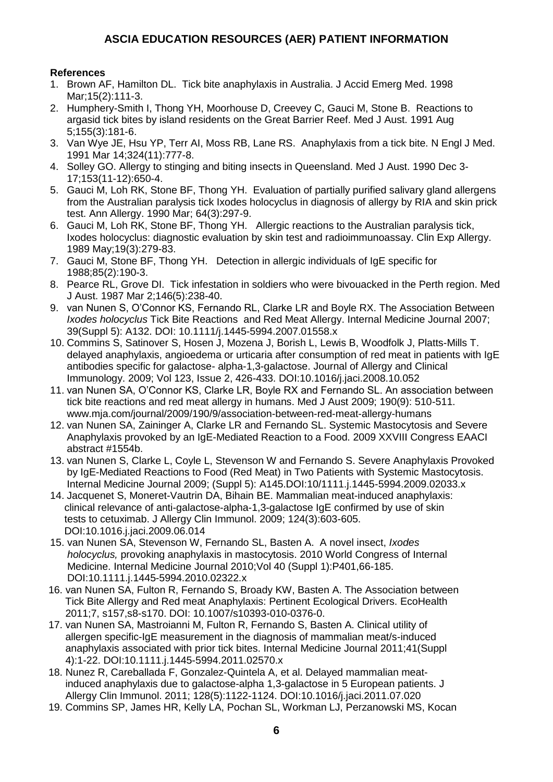## **References**

- 1. Brown AF, Hamilton DL. Tick bite anaphylaxis in Australia. J Accid Emerg Med. 1998 Mar;15(2):111-3.
- 2. Humphery-Smith I, Thong YH, Moorhouse D, Creevey C, Gauci M, Stone B. Reactions to argasid tick bites by island residents on the Great Barrier Reef. Med J Aust. 1991 Aug 5;155(3):181-6.
- 3. Van Wye JE, Hsu YP, Terr AI, Moss RB, Lane RS. Anaphylaxis from a tick bite. N Engl J Med. 1991 Mar 14;324(11):777-8.
- 4. Solley GO. Allergy to stinging and biting insects in Queensland. Med J Aust. 1990 Dec 3- 17;153(11-12):650-4.
- 5. Gauci M, Loh RK, Stone BF, Thong YH. Evaluation of partially purified salivary gland allergens from the Australian paralysis tick Ixodes holocyclus in diagnosis of allergy by RIA and skin prick test. Ann Allergy. 1990 Mar; 64(3):297-9.
- 6. Gauci M, Loh RK, Stone BF, Thong YH. Allergic reactions to the Australian paralysis tick, Ixodes holocyclus: diagnostic evaluation by skin test and radioimmunoassay. Clin Exp Allergy. 1989 May;19(3):279-83.
- 7. Gauci M, Stone BF, Thong YH. Detection in allergic individuals of IgE specific for 1988;85(2):190-3.
- 8. Pearce RL, Grove DI. Tick infestation in soldiers who were bivouacked in the Perth region. Med J Aust. 1987 Mar 2;146(5):238-40.
- 9. van Nunen S, O'Connor KS, Fernando RL, Clarke LR and Boyle RX. The Association Between *Ixodes holocyclus* Tick Bite Reactions and Red Meat Allergy. Internal Medicine Journal 2007; 39(Suppl 5): A132. DOI: 10.1111/j.1445-5994.2007.01558.x
- 10. Commins S, Satinover S, Hosen J, Mozena J, Borish L, Lewis B, Woodfolk J, Platts-Mills T. delayed anaphylaxis, angioedema or urticaria after consumption of red meat in patients with IgE antibodies specific for galactose- alpha-1,3-galactose. Journal of Allergy and Clinical Immunology. 2009; Vol 123, Issue 2, 426-433. DOI:10.1016/j.jaci.2008.10.052
- 11. van Nunen SA, O'Connor KS, Clarke LR, Boyle RX and Fernando SL. An association between tick bite reactions and red meat allergy in humans. Med J Aust 2009; 190(9): 510-511. www.mja.com/journal/2009/190/9/association-between-red-meat-allergy-humans
- 12. van Nunen SA, Zaininger A, Clarke LR and Fernando SL. Systemic Mastocytosis and Severe Anaphylaxis provoked by an IgE-Mediated Reaction to a Food. 2009 XXVIII Congress EAACI abstract #1554b.
- 13. van Nunen S, Clarke L, Coyle L, Stevenson W and Fernando S. Severe Anaphylaxis Provoked by IgE-Mediated Reactions to Food (Red Meat) in Two Patients with Systemic Mastocytosis. Internal Medicine Journal 2009; (Suppl 5): A145.DOI:10/1111.j.1445-5994.2009.02033.x
- 14. Jacquenet S, Moneret-Vautrin DA, Bihain BE. Mammalian meat-induced anaphylaxis: clinical relevance of anti-galactose-alpha-1,3-galactose IgE confirmed by use of skin tests to cetuximab. J Allergy Clin Immunol. 2009; 124(3):603-605. DOI:10.1016.j.jaci.2009.06.014
- 15. van Nunen SA, Stevenson W, Fernando SL, Basten A. A novel insect, *Ixodes holocyclus,* provoking anaphylaxis in mastocytosis. 2010 World Congress of Internal Medicine. Internal Medicine Journal 2010;Vol 40 (Suppl 1):P401,66-185. DOI:10.1111.j.1445-5994.2010.02322.x
- 16. van Nunen SA, Fulton R, Fernando S, Broady KW, Basten A. The Association between Tick Bite Allergy and Red meat Anaphylaxis: Pertinent Ecological Drivers. EcoHealth 2011;7, s157,s8-s170. DOI: 10.1007/s10393-010-0376-0.
- 17. van Nunen SA, Mastroianni M, Fulton R, Fernando S, Basten A. Clinical utility of allergen specific-IgE measurement in the diagnosis of mammalian meat/s-induced anaphylaxis associated with prior tick bites. Internal Medicine Journal 2011;41(Suppl 4):1-22. DOI:10.1111.j.1445-5994.2011.02570.x
- 18. Nunez R, Careballada F, Gonzalez-Quintela A, et al. Delayed mammalian meat induced anaphylaxis due to galactose-alpha 1,3-galactose in 5 European patients. J Allergy Clin Immunol. 2011; 128(5):1122-1124. DOI:10.1016/j.jaci.2011.07.020
- 19. Commins SP, James HR, Kelly LA, Pochan SL, Workman LJ, Perzanowski MS, Kocan